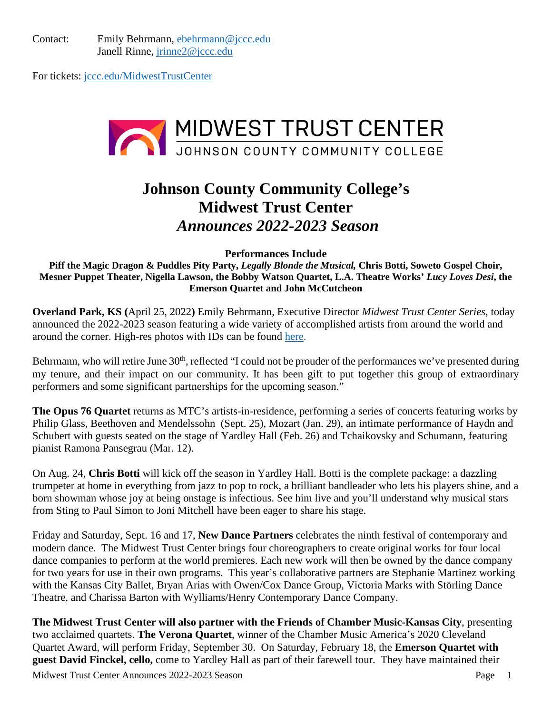Contact: Emily Behrmann, [ebehrmann@jccc.edu](mailto:ebehrmann@jccc.edu) Janell Rinne, [jrinne2@jccc.edu](mailto:jrinne2@jccc.edu)

For tickets: [jccc.edu/MidwestTrustCenter](https://jccc.universitytickets.com/w/)



# **Johnson County Community College's Midwest Trust Center** *Announces 2022-2023 Season*

**Performances Include** 

**Piff the Magic Dragon & Puddles Pity Party,** *Legally Blonde the Musical,* **Chris Botti, Soweto Gospel Choir, Mesner Puppet Theater, Nigella Lawson, the Bobby Watson Quartet, L.A. Theatre Works'** *Lucy Loves Desi***, the Emerson Quartet and John McCutcheon**

**Overland Park, KS (**April 25, 2022**)** Emily Behrmann, Executive Director *Midwest Trust Center Series*, today announced the 2022-2023 season featuring a wide variety of accomplished artists from around the world and around the corner. High-res photos with IDs can be found [here.](https://www.dropbox.com/sh/66i8hcumo2ggbvz/AABbbjorKldnUMbtOl3rXZKea?dl=0)

Behrmann, who will retire June 30<sup>th</sup>, reflected "I could not be prouder of the performances we've presented during my tenure, and their impact on our community. It has been gift to put together this group of extraordinary performers and some significant partnerships for the upcoming season."

**The Opus 76 Quartet** returns as MTC's artists-in-residence, performing a series of concerts featuring works by Philip Glass, Beethoven and Mendelssohn (Sept. 25), Mozart (Jan. 29), an intimate performance of Haydn and Schubert with guests seated on the stage of Yardley Hall (Feb. 26) and Tchaikovsky and Schumann, featuring pianist Ramona Pansegrau (Mar. 12).

On Aug. 24, **Chris Botti** will kick off the season in Yardley Hall. Botti is the complete package: a dazzling trumpeter at home in everything from jazz to pop to rock, a brilliant bandleader who lets his players shine, and a born showman whose joy at being onstage is infectious. See him live and you'll understand why musical stars from Sting to Paul Simon to Joni Mitchell have been eager to share his stage.

Friday and Saturday, Sept. 16 and 17, **New Dance Partners** celebrates the ninth festival of contemporary and modern dance. The Midwest Trust Center brings four choreographers to create original works for four local dance companies to perform at the world premieres. Each new work will then be owned by the dance company for two years for use in their own programs. This year's collaborative partners are Stephanie Martinez working with the Kansas City Ballet, Bryan Arias with Owen/Cox Dance Group, Victoria Marks with Störling Dance Theatre, and Charissa Barton with Wylliams/Henry Contemporary Dance Company.

**The Midwest Trust Center will also partner with the Friends of Chamber Music-Kansas City**, presenting two acclaimed quartets. **The Verona Quartet**, winner of the Chamber Music America's 2020 Cleveland Quartet Award, will perform Friday, September 30. On Saturday, February 18, the **Emerson Quartet with guest David Finckel, cello,** come to Yardley Hall as part of their farewell tour. They have maintained their

Midwest Trust Center Announces 2022-2023 Season Page 1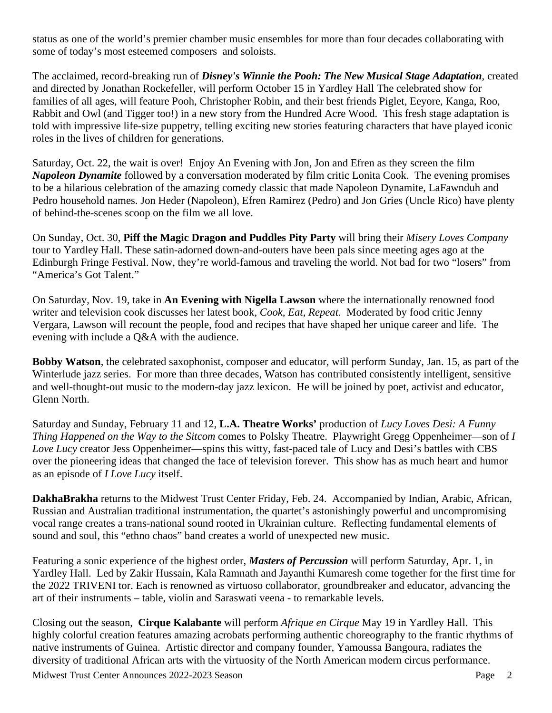status as one of the world's premier chamber music ensembles for more than four decades collaborating with some of today's most esteemed composers and soloists.

The acclaimed, record-breaking run of *Disney's Winnie the Pooh: The New Musical Stage Adaptation*, created and directed by Jonathan Rockefeller, will perform October 15 in Yardley Hall The celebrated show for families of all ages, will feature Pooh, Christopher Robin, and their best friends Piglet, Eeyore, Kanga, Roo, Rabbit and Owl (and Tigger too!) in a new story from the Hundred Acre Wood. This fresh stage adaptation is told with impressive life-size puppetry, telling exciting new stories featuring characters that have played iconic roles in the lives of children for generations.

Saturday, Oct. 22, the wait is over! Enjoy An Evening with Jon, Jon and Efren as they screen the film *Napoleon Dynamite* followed by a conversation moderated by film critic Lonita Cook. The evening promises to be a hilarious celebration of the amazing comedy classic that made Napoleon Dynamite, LaFawnduh and Pedro household names. Jon Heder (Napoleon), Efren Ramirez (Pedro) and Jon Gries (Uncle Rico) have plenty of behind-the-scenes scoop on the film we all love.

On Sunday, Oct. 30, **Piff the Magic Dragon and Puddles Pity Party** will bring their *Misery Loves Company* tour to Yardley Hall. These satin-adorned down-and-outers have been pals since meeting ages ago at the Edinburgh Fringe Festival. Now, they're world-famous and traveling the world. Not bad for two "losers" from "America's Got Talent."

On Saturday, Nov. 19, take in **An Evening with Nigella Lawson** where the internationally renowned food writer and television cook discusses her latest book, *Cook, Eat, Repeat*. Moderated by food critic Jenny Vergara, Lawson will recount the people, food and recipes that have shaped her unique career and life. The evening with include a Q&A with the audience.

**Bobby Watson**, the celebrated saxophonist, composer and educator, will perform Sunday, Jan. 15, as part of the Winterlude jazz series. For more than three decades, Watson has contributed consistently intelligent, sensitive and well-thought-out music to the modern-day jazz lexicon. He will be joined by poet, activist and educator, Glenn North.

Saturday and Sunday, February 11 and 12, **L.A. Theatre Works'** production of *Lucy Loves Desi: A Funny Thing Happened on the Way to the Sitcom* comes to Polsky Theatre. Playwright Gregg Oppenheimer—son of *I Love Lucy* creator Jess Oppenheimer—spins this witty, fast-paced tale of Lucy and Desi's battles with CBS over the pioneering ideas that changed the face of television forever. This show has as much heart and humor as an episode of *I Love Lucy* itself.

**DakhaBrakha** returns to the Midwest Trust Center Friday, Feb. 24. Accompanied by Indian, Arabic, African, Russian and Australian traditional instrumentation, the quartet's astonishingly powerful and uncompromising vocal range creates a trans-national sound rooted in Ukrainian culture. Reflecting fundamental elements of sound and soul, this "ethno chaos" band creates a world of unexpected new music.

Featuring a sonic experience of the highest order, *Masters of Percussion* will perform Saturday, Apr. 1, in Yardley Hall. Led by Zakir Hussain, Kala Ramnath and Jayanthi Kumaresh come together for the first time for the 2022 TRIVENI tor. Each is renowned as virtuoso collaborator, groundbreaker and educator, advancing the art of their instruments – table, violin and Saraswati veena - to remarkable levels.

Closing out the season, **Cirque Kalabante** will perform *Afrique en Cirque* May 19 in Yardley Hall. This highly colorful creation features amazing acrobats performing authentic choreography to the frantic rhythms of native instruments of Guinea. Artistic director and company founder, Yamoussa Bangoura, radiates the diversity of traditional African arts with the virtuosity of the North American modern circus performance.

Midwest Trust Center Announces 2022-2023 Season Page 2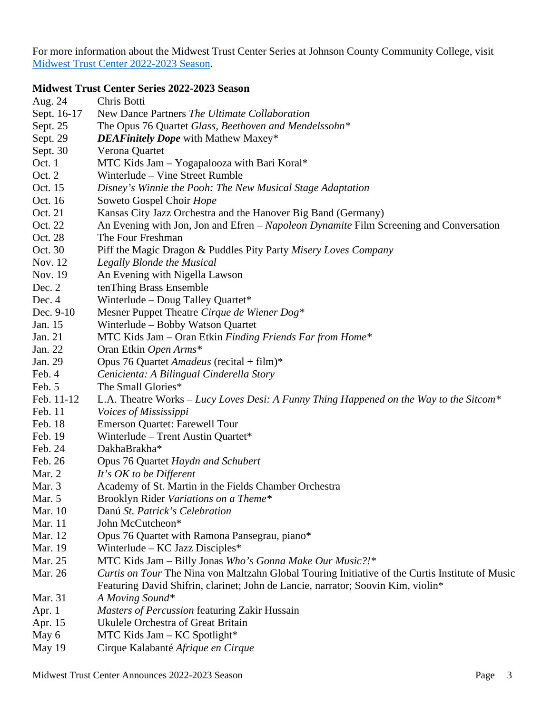For more information about the Midwest Trust Center Series at Johnson County Community College, visit [Midwest Trust Center 2022-2023 Season.](https://www.jccc.edu/midwest-trust-center/)

# **Midwest Trust Center Series 2022-2023 Season**

| Aug. 24        | Chris Botti                                                                                     |
|----------------|-------------------------------------------------------------------------------------------------|
| Sept. 16-17    | New Dance Partners The Ultimate Collaboration                                                   |
| Sept. 25       | The Opus 76 Quartet Glass, Beethoven and Mendelssohn*                                           |
| Sept. 29       | <b>DEAFinitely Dope</b> with Mathew Maxey*                                                      |
| Sept. 30       | Verona Quartet                                                                                  |
| Oct. 1         | MTC Kids Jam - Yogapalooza with Bari Koral*                                                     |
| Oct. 2         | Winterlude – Vine Street Rumble                                                                 |
| Oct. 15        | Disney's Winnie the Pooh: The New Musical Stage Adaptation                                      |
| Oct. 16        | Soweto Gospel Choir Hope                                                                        |
| Oct. 21        | Kansas City Jazz Orchestra and the Hanover Big Band (Germany)                                   |
| Oct. 22        | An Evening with Jon, Jon and Efren – Napoleon Dynamite Film Screening and Conversation          |
| Oct. 28        | The Four Freshman                                                                               |
| Oct. 30        | Piff the Magic Dragon & Puddles Pity Party Misery Loves Company                                 |
| Nov. 12        | Legally Blonde the Musical                                                                      |
| Nov. 19        | An Evening with Nigella Lawson                                                                  |
| Dec. 2         | tenThing Brass Ensemble                                                                         |
| Dec. $4$       | Winterlude - Doug Talley Quartet*                                                               |
| Dec. 9-10      | Mesner Puppet Theatre Cirque de Wiener Dog*                                                     |
| Jan. 15        | Winterlude - Bobby Watson Quartet                                                               |
| Jan. 21        | MTC Kids Jam – Oran Etkin Finding Friends Far from Home*                                        |
| Jan. 22        | Oran Etkin Open Arms*                                                                           |
| Jan. 29        | Opus 76 Quartet Amadeus (recital + film)*                                                       |
| Feb. 4         | Cenicienta: A Bilingual Cinderella Story                                                        |
| Feb. 5         | The Small Glories*                                                                              |
| Feb. 11-12     | L.A. Theatre Works – Lucy Loves Desi: A Funny Thing Happened on the Way to the Sitcom*          |
| Feb. 11        | Voices of Mississippi                                                                           |
| Feb. 18        | <b>Emerson Quartet: Farewell Tour</b>                                                           |
| Feb. 19        | Winterlude - Trent Austin Quartet*                                                              |
| Feb. 24        | DakhaBrakha*                                                                                    |
| Feb. 26        | Opus 76 Quartet Haydn and Schubert                                                              |
| Mar. 2         | It's OK to be Different                                                                         |
| Mar. 3         | Academy of St. Martin in the Fields Chamber Orchestra                                           |
| Mar. 5         | Brooklyn Rider Variations on a Theme*                                                           |
| Mar. 10        | Danú St. Patrick's Celebration                                                                  |
| Mar. 11        | John McCutcheon*                                                                                |
| Mar. 12        | Opus 76 Quartet with Ramona Pansegrau, piano*                                                   |
| Mar. 19        | Winterlude – $KC$ Jazz Disciples*                                                               |
| Mar. 25        | MTC Kids Jam - Billy Jonas Who's Gonna Make Our Music?!*                                        |
| Mar. 26        | Curtis on Tour The Nina von Maltzahn Global Touring Initiative of the Curtis Institute of Music |
|                | Featuring David Shifrin, clarinet; John de Lancie, narrator; Soovin Kim, violin*                |
| <b>Mar.</b> 31 | A Moving Sound*                                                                                 |
| Apr. $1$       | Masters of Percussion featuring Zakir Hussain                                                   |
| Apr. 15        | Ukulele Orchestra of Great Britain                                                              |
| May 6          | MTC Kids Jam - KC Spotlight*                                                                    |

May 19 Cirque Kalabanté *Afrique en Cirque*